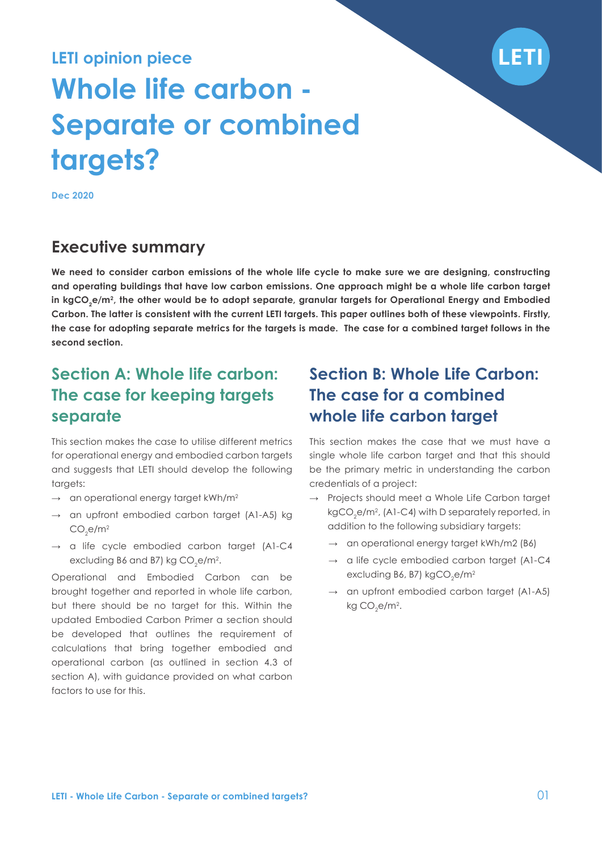

# **LETI opinion piece Whole life carbon - Separate or combined targets?**

**Dec 2020**

## **Executive summary**

**We need to consider carbon emissions of the whole life cycle to make sure we are designing, constructing and operating buildings that have low carbon emissions. One approach might be a whole life carbon target**  in kgCO<sub>2</sub>e/m<sup>2</sup>, the other would be to adopt separate, granular targets for Operational Energy and Embodied **Carbon. The latter is consistent with the current LETI targets. This paper outlines both of these viewpoints. Firstly, the case for adopting separate metrics for the targets is made. The case for a combined target follows in the second section.** 

# **Section A: Whole life carbon: The case for keeping targets separate**

This section makes the case to utilise different metrics for operational energy and embodied carbon targets and suggests that LETI should develop the following targets:

- → an operational energy target kWh/m<sup>2</sup>
- → an upfront embodied carbon target (A1-A5) kg  $CO<sub>2</sub>$ e/m<sup>2</sup>
- **→** a life cycle embodied carbon target (A1-C4 excluding B6 and B7) kg CO<sub>2</sub>e/m<sup>2</sup>.

Operational and Embodied Carbon can be brought together and reported in whole life carbon, but there should be no target for this. Within the updated Embodied Carbon Primer a section should be developed that outlines the requirement of calculations that bring together embodied and operational carbon (as outlined in section 4.3 of section A), with guidance provided on what carbon factors to use for this.

# **Section B: Whole Life Carbon: The case for a combined whole life carbon target**

This section makes the case that we must have a single whole life carbon target and that this should be the primary metric in understanding the carbon credentials of a project:

- **→** Projects should meet a Whole Life Carbon target kgCO<sub>2</sub>e/m<sup>2</sup>, (A1-C4) with D separately reported, in addition to the following subsidiary targets:
	- **→** an operational energy target kWh/m2 (B6)
	- **→** a life cycle embodied carbon target (A1-C4 excluding B6, B7) kgCO<sub>2</sub>e/m<sup>2</sup>
	- **→** an upfront embodied carbon target (A1-A5) kg CO $_{2}$ e/m $^{2}$ .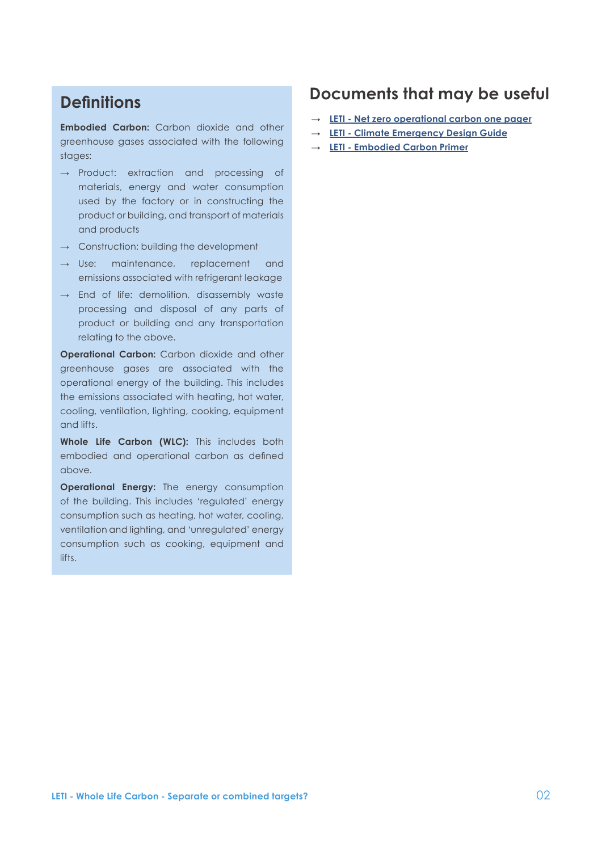## **Definitions**

**Embodied Carbon:** Carbon dioxide and other greenhouse gases associated with the following stages:

- **→** Product: extraction and processing of materials, energy and water consumption used by the factory or in constructing the product or building, and transport of materials and products
- **→** Construction: building the development
- **→** Use: maintenance, replacement and emissions associated with refrigerant leakage
- **→** End of life: demolition, disassembly waste processing and disposal of any parts of product or building and any transportation relating to the above.

**Operational Carbon:** Carbon dioxide and other greenhouse gases are associated with the operational energy of the building. This includes the emissions associated with heating, hot water, cooling, ventilation, lighting, cooking, equipment and lifts.

**Whole Life Carbon (WLC):** This includes both embodied and operational carbon as defined above.

**Operational Energy:** The energy consumption of the building. This includes 'regulated' energy consumption such as heating, hot water, cooling, ventilation and lighting, and 'unregulated' energy consumption such as cooking, equipment and lifts.

### **Documents that may be useful**

- **→ [LETI Net zero operational carbon one pager](https://www.leti.london/one-pager)**
- **→ [LETI Climate Emergency Design Guide](https://www.leti.london/cedg)**
- **→ [LETI Embodied Carbon Primer](https://www.leti.london/ecp)**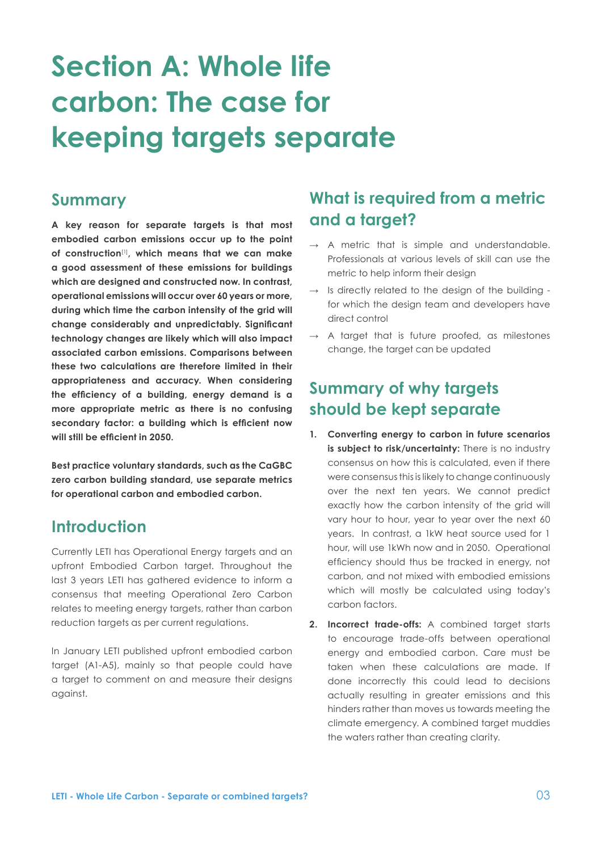# <span id="page-2-0"></span>**Section A: Whole life carbon: The case for keeping targets separate**

### **Summary**

**A key reason for separate targets is that most embodied carbon emissions occur up to the point of construction**[\[1\]](#page-16-0) **, which means that we can make a good assessment of these emissions for buildings which are designed and constructed now. In contrast, operational emissions will occur over 60 years or more, during which time the carbon intensity of the grid will change considerably and unpredictably. Significant technology changes are likely which will also impact associated carbon emissions. Comparisons between these two calculations are therefore limited in their appropriateness and accuracy. When considering the efficiency of a building, energy demand is a more appropriate metric as there is no confusing secondary factor: a building which is efficient now will still be efficient in 2050.**

**Best practice voluntary standards, such as the CaGBC zero carbon building standard, use separate metrics for operational carbon and embodied carbon.** 

### **Introduction**

Currently LETI has Operational Energy targets and an upfront Embodied Carbon target. Throughout the last 3 years LETI has gathered evidence to inform a consensus that meeting Operational Zero Carbon relates to meeting energy targets, rather than carbon reduction targets as per current regulations.

In January LETI published upfront embodied carbon target (A1-A5), mainly so that people could have a target to comment on and measure their designs against.

# **What is required from a metric and a target?**

- **→** A metric that is simple and understandable. Professionals at various levels of skill can use the metric to help inform their design
- **→** Is directly related to the design of the building for which the design team and developers have direct control
- **→** A target that is future proofed, as milestones change, the target can be updated

# **Summary of why targets should be kept separate**

- **1. Converting energy to carbon in future scenarios**  is subject to risk/uncertainty: There is no industry consensus on how this is calculated, even if there were consensus this is likely to change continuously over the next ten years. We cannot predict exactly how the carbon intensity of the grid will vary hour to hour, year to year over the next 60 years. In contrast, a 1kW heat source used for 1 hour, will use 1kWh now and in 2050. Operational efficiency should thus be tracked in energy, not carbon, and not mixed with embodied emissions which will mostly be calculated using today's carbon factors.
- **2. Incorrect trade-offs:** A combined target starts to encourage trade-offs between operational energy and embodied carbon. Care must be taken when these calculations are made. If done incorrectly this could lead to decisions actually resulting in greater emissions and this hinders rather than moves us towards meeting the climate emergency. A combined target muddies the waters rather than creating clarity.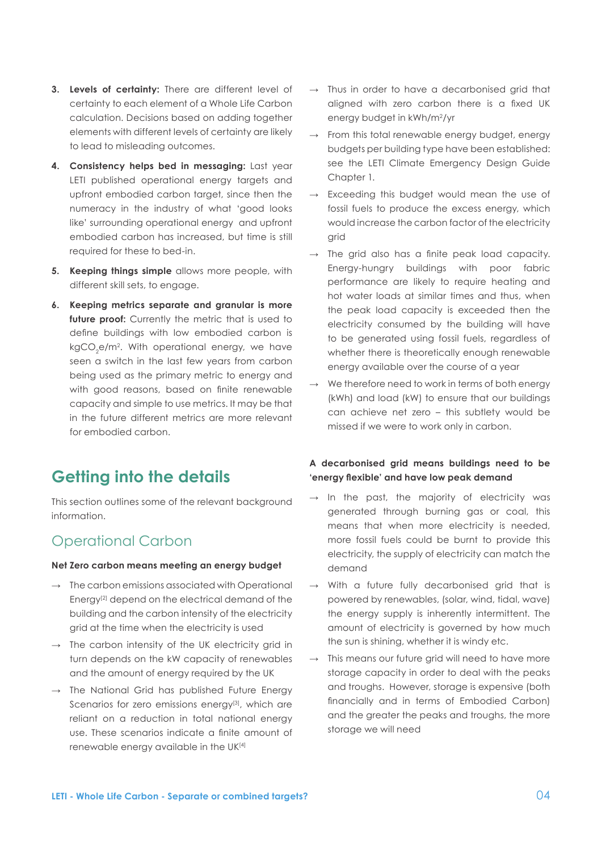- <span id="page-3-0"></span>**3. Levels of certainty:** There are different level of certainty to each element of a Whole Life Carbon calculation. Decisions based on adding together elements with different levels of certainty are likely to lead to misleading outcomes.
- **4. Consistency helps bed in messaging:** Last year LETI published operational energy targets and upfront embodied carbon target, since then the numeracy in the industry of what 'good looks like' surrounding operational energy and upfront embodied carbon has increased, but time is still required for these to bed-in.
- **5. Keeping things simple** allows more people, with different skill sets, to engage.
- **6. Keeping metrics separate and granular is more**  future proof: Currently the metric that is used to define buildings with low embodied carbon is kgCO $_2$ e/m $^2$ . With operational energy, we have seen a switch in the last few years from carbon being used as the primary metric to energy and with good reasons, based on finite renewable capacity and simple to use metrics. It may be that in the future different metrics are more relevant for embodied carbon.

# **Getting into the details**

This section outlines some of the relevant background information.

### Operational Carbon

#### **Net Zero carbon means meeting an energy budget**

- **→** The carbon emissions associated with Operational Energy<sup>[2]</sup> depend on the electrical demand of the building and the carbon intensity of the electricity grid at the time when the electricity is used
- **→** The carbon intensity of the UK electricity grid in turn depends on the kW capacity of renewables and the amount of energy required by the UK
- **→** The National Grid has published Future Energy Scenarios for zero emissions energy<sup>[3]</sup>, which are reliant on a reduction in total national energy use. These scenarios indicate a finite amount of renewable energy available in the U[K\[4\]](#page-16-0)
- **→** Thus in order to have a decarbonised grid that aligned with zero carbon there is a fixed UK energy budget in kWh/m2/yr
- **→** From this total renewable energy budget, energy budgets per building type have been established: see the LETI Climate Emergency Design Guide Chapter 1.
- **→** Exceeding this budget would mean the use of fossil fuels to produce the excess energy, which would increase the carbon factor of the electricity grid
- **→** The grid also has a finite peak load capacity. Energy-hungry buildings with poor fabric performance are likely to require heating and hot water loads at similar times and thus, when the peak load capacity is exceeded then the electricity consumed by the building will have to be generated using fossil fuels, regardless of whether there is theoretically enough renewable energy available over the course of a year
- We therefore need to work in terms of both energy (kWh) and load (kW) to ensure that our buildings can achieve net zero – this subtlety would be missed if we were to work only in carbon.

### **A decarbonised grid means buildings need to be 'energy flexible' and have low peak demand**

- **→** In the past, the majority of electricity was generated through burning gas or coal, this means that when more electricity is needed, more fossil fuels could be burnt to provide this electricity, the supply of electricity can match the demand
- **→** With a future fully decarbonised grid that is powered by renewables, (solar, wind, tidal, wave) the energy supply is inherently intermittent. The amount of electricity is governed by how much the sun is shining, whether it is windy etc.
- This means our future grid will need to have more storage capacity in order to deal with the peaks and troughs. However, storage is expensive (both financially and in terms of Embodied Carbon) and the greater the peaks and troughs, the more storage we will need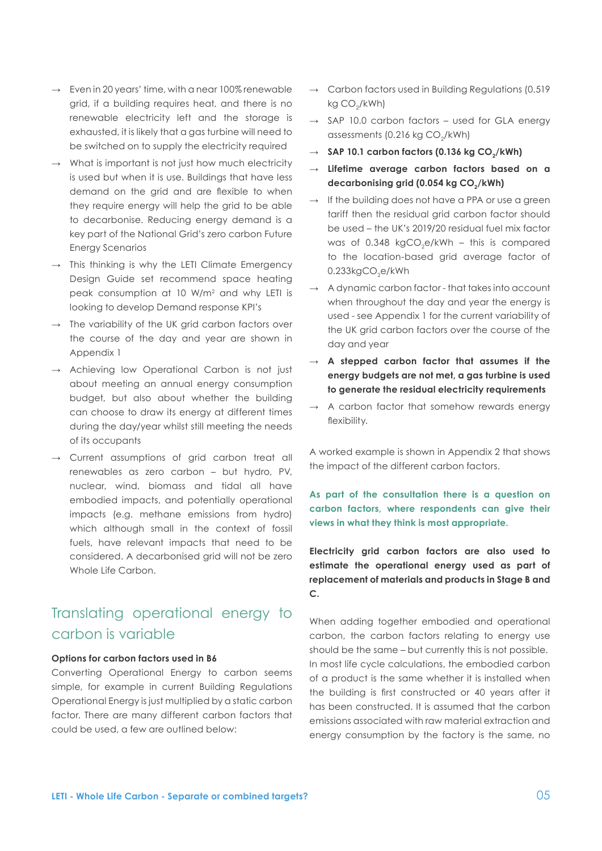- **→** Even in 20 years' time, with a near 100% renewable grid, if a building requires heat, and there is no renewable electricity left and the storage is exhausted, it is likely that a gas turbine will need to be switched on to supply the electricity required
- **→** What is important is not just how much electricity is used but when it is use. Buildings that have less demand on the grid and are flexible to when they require energy will help the grid to be able to decarbonise. Reducing energy demand is a key part of the National Grid's zero carbon Future Energy Scenarios
- **→** This thinking is why the LETI Climate Emergency Design Guide set recommend space heating peak consumption at 10 W/m2 and why LETI is looking to develop Demand response KPI's
- **→** The variability of the UK grid carbon factors over the course of the day and year are shown in Appendix 1
- **→** Achieving low Operational Carbon is not just about meeting an annual energy consumption budget, but also about whether the building can choose to draw its energy at different times during the day/year whilst still meeting the needs of its occupants
- **→** Current assumptions of grid carbon treat all renewables as zero carbon – but hydro, PV, nuclear, wind, biomass and tidal all have embodied impacts, and potentially operational impacts (e.g. methane emissions from hydro) which although small in the context of fossil fuels, have relevant impacts that need to be considered. A decarbonised grid will not be zero Whole Life Carbon.

## Translating operational energy to carbon is variable

#### **Options for carbon factors used in B6**

Converting Operational Energy to carbon seems simple, for example in current Building Regulations Operational Energy is just multiplied by a static carbon factor. There are many different carbon factors that could be used, a few are outlined below:

- **→** Carbon factors used in Building Regulations (0.519 kg CO<sub>2</sub>/kWh)
- **→** SAP 10.0 carbon factors used for GLA energy assessments  $(0.216 \text{ kg CO}_{a}/\text{kWh})$
- $\rightarrow$  **SAP 10.1 carbon factors (0.136 kg CO<sub>2</sub>/kWh)**
- **→ Lifetime average carbon factors based on a**  decarbonising grid (0.054 kg CO<sub>2</sub>/kWh)
- → If the building does not have a PPA or use a green tariff then the residual grid carbon factor should be used – the UK's 2019/20 residual fuel mix factor was of 0.348 kgCO<sub>2</sub>e/kWh – this is compared to the location-based grid average factor of 0.233kg $\mathsf{CO}_2$ e/kWh
- **→** A dynamic carbon factor that takes into account when throughout the day and year the energy is used - see Appendix 1 for the current variability of the UK grid carbon factors over the course of the day and year
- **→ A stepped carbon factor that assumes if the energy budgets are not met, a gas turbine is used to generate the residual electricity requirements**
- **→** A carbon factor that somehow rewards energy flexibility.

A worked example is shown in Appendix 2 that shows the impact of the different carbon factors.

**As part of the consultation there is a question on carbon factors, where respondents can give their views in what they think is most appropriate.**

**Electricity grid carbon factors are also used to estimate the operational energy used as part of replacement of materials and products in Stage B and C.**

When adding together embodied and operational carbon, the carbon factors relating to energy use should be the same – but currently this is not possible. In most life cycle calculations, the embodied carbon of a product is the same whether it is installed when the building is first constructed or 40 years after it has been constructed. It is assumed that the carbon emissions associated with raw material extraction and energy consumption by the factory is the same, no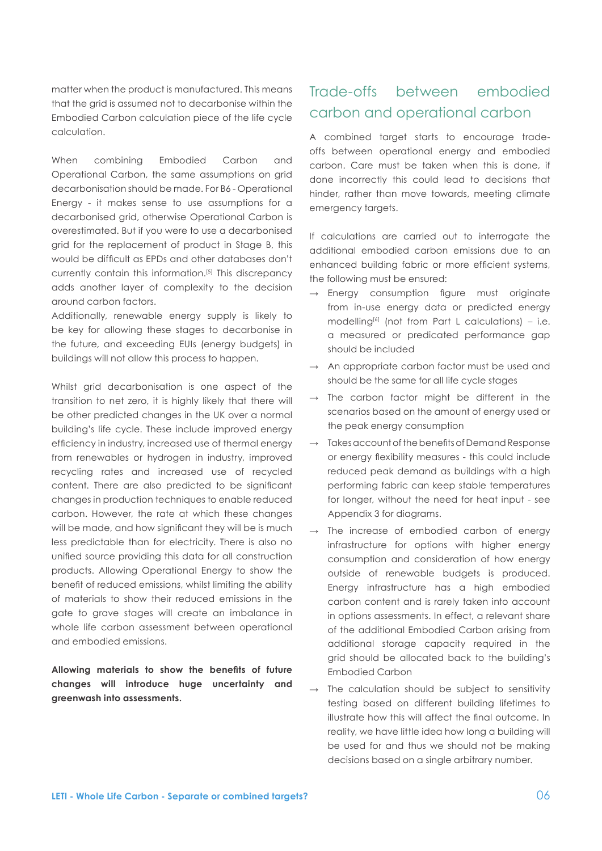matter when the product is manufactured. This means that the grid is assumed not to decarbonise within the Embodied Carbon calculation piece of the life cycle calculation.

When combining Embodied Carbon and Operational Carbon, the same assumptions on grid decarbonisation should be made. For B6 - Operational Energy - it makes sense to use assumptions for a decarbonised grid, otherwise Operational Carbon is overestimated. But if you were to use a decarbonised grid for the replacement of product in Stage B, this would be difficult as EPDs and other databases don't currently contain this information.[\[5\]](#page-16-0) This discrepancy adds another layer of complexity to the decision around carbon factors.

Additionally, renewable energy supply is likely to be key for allowing these stages to decarbonise in the future, and exceeding EUIs (energy budgets) in buildings will not allow this process to happen.

Whilst grid decarbonisation is one aspect of the transition to net zero, it is highly likely that there will be other predicted changes in the UK over a normal building's life cycle. These include improved energy efficiency in industry, increased use of thermal energy from renewables or hydrogen in industry, improved recycling rates and increased use of recycled content. There are also predicted to be significant changes in production techniques to enable reduced carbon. However, the rate at which these changes will be made, and how significant they will be is much less predictable than for electricity. There is also no unified source providing this data for all construction products. Allowing Operational Energy to show the benefit of reduced emissions, whilst limiting the ability of materials to show their reduced emissions in the gate to grave stages will create an imbalance in whole life carbon assessment between operational and embodied emissions.

**Allowing materials to show the benefits of future changes will introduce huge uncertainty and greenwash into assessments.**

# Trade-offs between embodied carbon and operational carbon

A combined target starts to encourage tradeoffs between operational energy and embodied carbon. Care must be taken when this is done, if done incorrectly this could lead to decisions that hinder, rather than move towards, meeting climate emergency targets.

If calculations are carried out to interrogate the additional embodied carbon emissions due to an enhanced building fabric or more efficient systems, the following must be ensured:

- **→** Energy consumption figure must originate from in-use energy data or predicted energy modelling<sup>[\[6\]](#page-16-0)</sup> (not from Part L calculations) – i.e. a measured or predicated performance gap should be included
- **→** An appropriate carbon factor must be used and should be the same for all life cycle stages
- **→** The carbon factor might be different in the scenarios based on the amount of energy used or the peak energy consumption
- Takes account of the benefits of Demand Response or energy flexibility measures - this could include reduced peak demand as buildings with a high performing fabric can keep stable temperatures for longer, without the need for heat input - see Appendix 3 for diagrams.
- The increase of embodied carbon of energy infrastructure for options with higher energy consumption and consideration of how energy outside of renewable budgets is produced. Energy infrastructure has a high embodied carbon content and is rarely taken into account in options assessments. In effect, a relevant share of the additional Embodied Carbon arising from additional storage capacity required in the grid should be allocated back to the building's Embodied Carbon
- **→** The calculation should be subject to sensitivity testing based on different building lifetimes to illustrate how this will affect the final outcome. In reality, we have little idea how long a building will be used for and thus we should not be making decisions based on a single arbitrary number.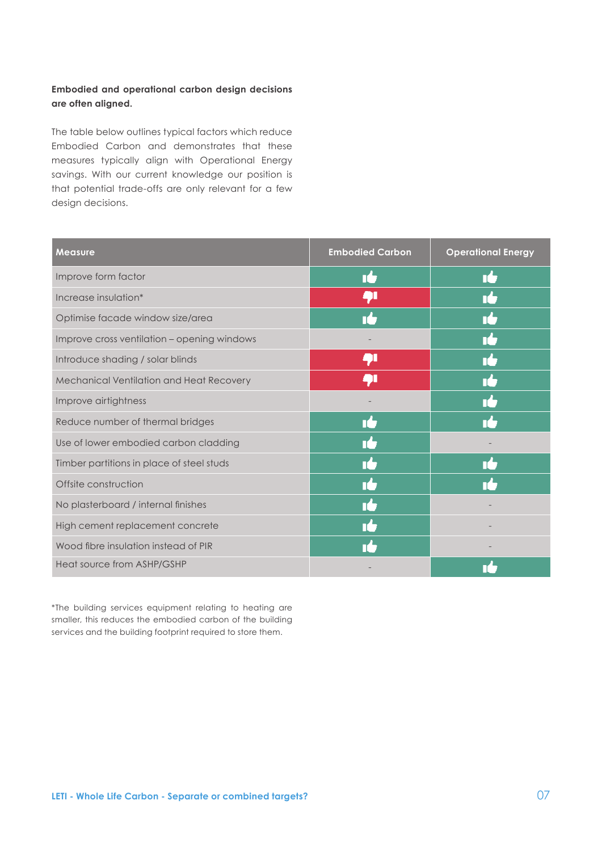### **Embodied and operational carbon design decisions are often aligned.**

The table below outlines typical factors which reduce Embodied Carbon and demonstrates that these measures typically align with Operational Energy savings. With our current knowledge our position is that potential trade-offs are only relevant for a few design decisions.

| <b>Measure</b>                              | <b>Embodied Carbon</b> | <b>Operational Energy</b> |
|---------------------------------------------|------------------------|---------------------------|
| Improve form factor                         | ıċ                     | T.                        |
| Increase insulation*                        | <b>q</b>               | $\mathbf{d}_{\mathbf{v}}$ |
| Optimise facade window size/area            | $\P^1$                 | T1                        |
| Improve cross ventilation - opening windows |                        | ıċ                        |
| Introduce shading / solar blinds            | 4 L                    | T,                        |
| Mechanical Ventilation and Heat Recovery    | ĄΙ                     | T٠                        |
| Improve airtightness                        |                        | T <sup>A</sup>            |
| Reduce number of thermal bridges            | ıŁ                     | T <sup>A</sup>            |
| Use of lower embodied carbon cladding       | $\mathbf{T}$ .         |                           |
| Timber partitions in place of steel studs   | T)                     | T.                        |
| Offsite construction                        | ıŁ                     | n <sup>4</sup>            |
| No plasterboard / internal finishes         | ıċ                     |                           |
| High cement replacement concrete            | T)                     |                           |
| Wood fibre insulation instead of PIR        |                        |                           |
| Heat source from ASHP/GSHP                  |                        |                           |

\*The building services equipment relating to heating are smaller, this reduces the embodied carbon of the building services and the building footprint required to store them.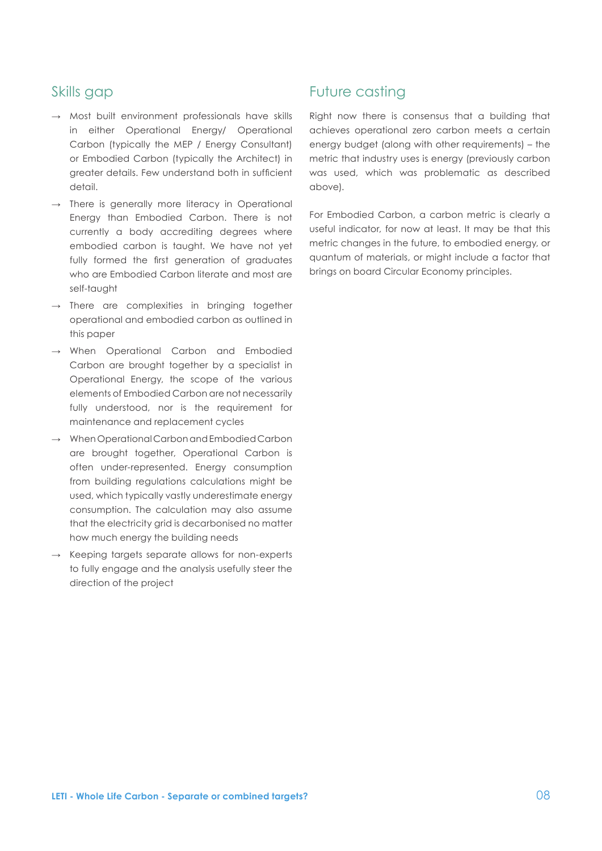### Skills gap

- **→** Most built environment professionals have skills in either Operational Energy/ Operational Carbon (typically the MEP / Energy Consultant) or Embodied Carbon (typically the Architect) in greater details. Few understand both in sufficient detail.
- **→** There is generally more literacy in Operational Energy than Embodied Carbon. There is not currently a body accrediting degrees where embodied carbon is taught. We have not yet fully formed the first generation of graduates who are Embodied Carbon literate and most are self-taught
- **→** There are complexities in bringing together operational and embodied carbon as outlined in this paper
- **→** When Operational Carbon and Embodied Carbon are brought together by a specialist in Operational Energy, the scope of the various elements of Embodied Carbon are not necessarily fully understood, nor is the requirement for maintenance and replacement cycles
- **→** When Operational Carbon and Embodied Carbon are brought together, Operational Carbon is often under-represented. Energy consumption from building regulations calculations might be used, which typically vastly underestimate energy consumption. The calculation may also assume that the electricity grid is decarbonised no matter how much energy the building needs
- **→** Keeping targets separate allows for non-experts to fully engage and the analysis usefully steer the direction of the project

### Future casting

Right now there is consensus that a building that achieves operational zero carbon meets a certain energy budget (along with other requirements) – the metric that industry uses is energy (previously carbon was used, which was problematic as described above).

For Embodied Carbon, a carbon metric is clearly a useful indicator, for now at least. It may be that this metric changes in the future, to embodied energy, or quantum of materials, or might include a factor that brings on board Circular Economy principles.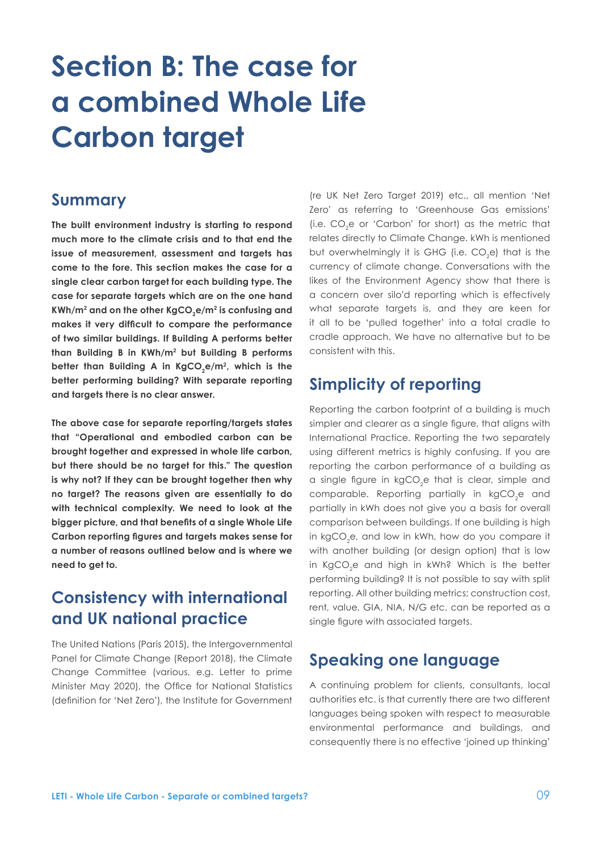# **Section B: The case for a combined Whole Life Carbon target**

### **Summary**

**The built environment industry is starting to respond much more to the climate crisis and to that end the issue of measurement, assessment and targets has come to the fore. This section makes the case for a single clear carbon target for each building type. The case for separate targets which are on the one hand**  KWh/m<sup>2</sup> and on the other KgCO<sub>2</sub>e/m<sup>2</sup> is confusing and **makes it very difficult to compare the performance of two similar buildings. If Building A performs better than Building B in KWh/m2 but Building B performs**  better than Building A in KgCO<sub>2</sub>e/m<sup>2</sup>, which is the **better performing building? With separate reporting and targets there is no clear answer.**

**The above case for separate reporting/targets states that "Operational and embodied carbon can be brought together and expressed in whole life carbon, but there should be no target for this." The question is why not? If they can be brought together then why no target? The reasons given are essentially to do with technical complexity. We need to look at the bigger picture, and that benefits of a single Whole Life Carbon reporting figures and targets makes sense for a number of reasons outlined below and is where we need to get to.** 

# **Consistency with international and UK national practice**

The United Nations (Paris 2015), the Intergovernmental Panel for Climate Change (Report 2018), the Climate Change Committee (various, e.g. Letter to prime Minister May 2020), the Office for National Statistics (definition for 'Net Zero'), the Institute for Government

(re UK Net Zero Target 2019) etc., all mention 'Net Zero' as referring to 'Greenhouse Gas emissions' (i.e.  $CO<sub>2</sub>e$  or 'Carbon' for short) as the metric that relates directly to Climate Change. kWh is mentioned but overwhelmingly it is GHG (i.e.  $CO<sub>2</sub>$ e) that is the currency of climate change. Conversations with the likes of the Environment Agency show that there is a concern over silo'd reporting which is effectively what separate targets is, and they are keen for it all to be 'pulled together' into a total cradle to cradle approach. We have no alternative but to be consistent with this.

# **Simplicity of reporting**

Reporting the carbon footprint of a building is much simpler and clearer as a single figure, that aligns with International Practice. Reporting the two separately using different metrics is highly confusing. If you are reporting the carbon performance of a building as a single figure in kgCO<sub>2</sub>e that is clear, simple and comparable. Reporting partially in  $kgCO<sub>2</sub>e$  and partially in kWh does not give you a basis for overall comparison between buildings. If one building is high in kgCO<sub>2</sub>e, and low in kWh, how do you compare it with another building (or design option) that is low in KgCO<sub>2</sub>e and high in kWh? Which is the better performing building? It is not possible to say with split reporting. All other building metrics; construction cost, rent, value, GIA, NIA, N/G etc. can be reported as a single figure with associated targets.

# **Speaking one language**

A continuing problem for clients, consultants, local authorities etc. is that currently there are two different languages being spoken with respect to measurable environmental performance and buildings, and consequently there is no effective 'joined up thinking'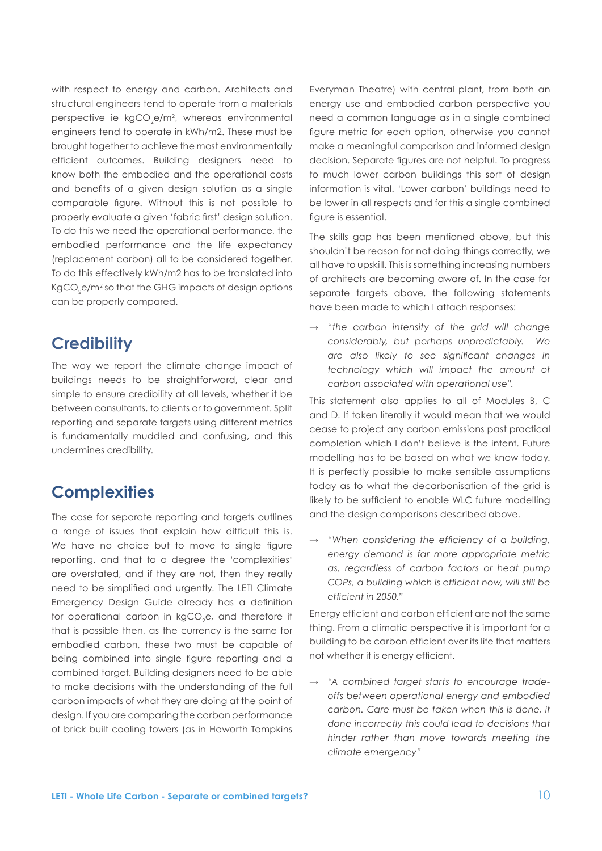with respect to energy and carbon. Architects and structural engineers tend to operate from a materials perspective ie kgCO<sub>2</sub>e/m<sup>2</sup>, whereas environmental engineers tend to operate in kWh/m2. These must be brought together to achieve the most environmentally efficient outcomes. Building designers need to know both the embodied and the operational costs and benefits of a given design solution as a single comparable figure. Without this is not possible to properly evaluate a given 'fabric first' design solution. To do this we need the operational performance, the embodied performance and the life expectancy (replacement carbon) all to be considered together. To do this effectively kWh/m2 has to be translated into KgCO $_2$ e/m $^2$  so that the GHG impacts of design options can be properly compared.

### **Credibility**

The way we report the climate change impact of buildings needs to be straightforward, clear and simple to ensure credibility at all levels, whether it be between consultants, to clients or to government. Split reporting and separate targets using different metrics is fundamentally muddled and confusing, and this undermines credibility.

# **Complexities**

The case for separate reporting and targets outlines a range of issues that explain how difficult this is. We have no choice but to move to single figure reporting, and that to a degree the 'complexities' are overstated, and if they are not, then they really need to be simplified and urgently. The LETI Climate Emergency Design Guide already has a definition for operational carbon in kgCO<sub>2</sub>e, and therefore if that is possible then, as the currency is the same for embodied carbon, these two must be capable of being combined into single figure reporting and a combined target. Building designers need to be able to make decisions with the understanding of the full carbon impacts of what they are doing at the point of design. If you are comparing the carbon performance of brick built cooling towers (as in Haworth Tompkins

Everyman Theatre) with central plant, from both an energy use and embodied carbon perspective you need a common language as in a single combined figure metric for each option, otherwise you cannot make a meaningful comparison and informed design decision. Separate figures are not helpful. To progress to much lower carbon buildings this sort of design information is vital. 'Lower carbon' buildings need to be lower in all respects and for this a single combined figure is essential.

The skills gap has been mentioned above, but this shouldn't be reason for not doing things correctly, we all have to upskill. This is something increasing numbers of architects are becoming aware of. In the case for separate targets above, the following statements have been made to which I attach responses:

**→** "*the carbon intensity of the grid will change considerably, but perhaps unpredictably. We are also likely to see significant changes in technology which will impact the amount of carbon associated with operational use".* 

This statement also applies to all of Modules B, C and D. If taken literally it would mean that we would cease to project any carbon emissions past practical completion which I don't believe is the intent. Future modelling has to be based on what we know today. It is perfectly possible to make sensible assumptions today as to what the decarbonisation of the grid is likely to be sufficient to enable WLC future modelling and the design comparisons described above.

**→** "*When considering the efficiency of a building, energy demand is far more appropriate metric as, regardless of carbon factors or heat pump COPs, a building which is efficient now, will still be efficient in 2050."*

Energy efficient and carbon efficient are not the same thing. From a climatic perspective it is important for a building to be carbon efficient over its life that matters not whether it is energy efficient.

**→** "*A combined target starts to encourage tradeoffs between operational energy and embodied carbon. Care must be taken when this is done, if done incorrectly this could lead to decisions that hinder rather than move towards meeting the climate emergency"*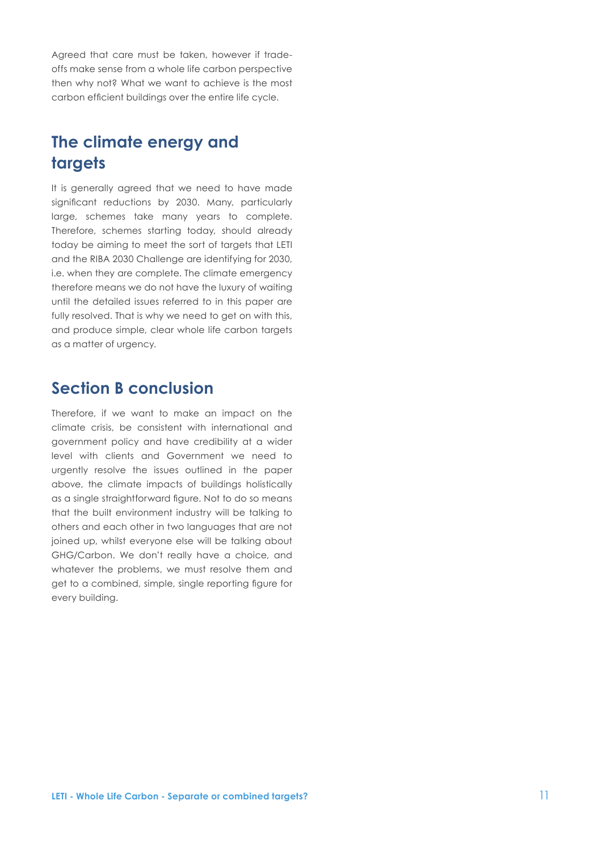Agreed that care must be taken, however if tradeoffs make sense from a whole life carbon perspective then why not? What we want to achieve is the most carbon efficient buildings over the entire life cycle.

# **The climate energy and targets**

It is generally agreed that we need to have made significant reductions by 2030. Many, particularly large, schemes take many years to complete. Therefore, schemes starting today, should already today be aiming to meet the sort of targets that LETI and the RIBA 2030 Challenge are identifying for 2030, i.e. when they are complete. The climate emergency therefore means we do not have the luxury of waiting until the detailed issues referred to in this paper are fully resolved. That is why we need to get on with this, and produce simple, clear whole life carbon targets as a matter of urgency.

# **Section B conclusion**

Therefore, if we want to make an impact on the climate crisis, be consistent with international and government policy and have credibility at a wider level with clients and Government we need to urgently resolve the issues outlined in the paper above, the climate impacts of buildings holistically as a single straightforward figure. Not to do so means that the built environment industry will be talking to others and each other in two languages that are not joined up, whilst everyone else will be talking about GHG/Carbon. We don't really have a choice, and whatever the problems, we must resolve them and get to a combined, simple, single reporting figure for every building.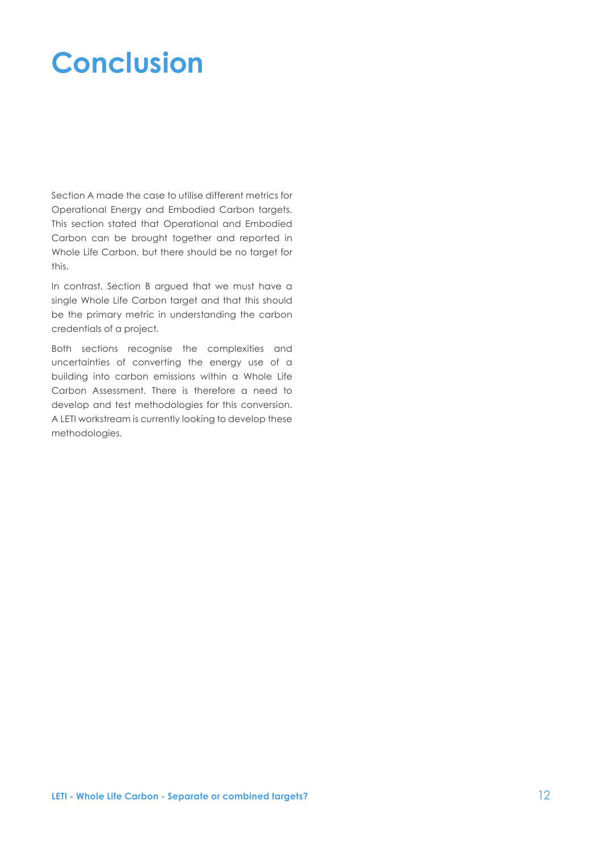# **Conclusion**

Section A made the case to utilise different metrics for Operational Energy and Embodied Carbon targets. This section stated that Operational and Embodied Carbon can be brought together and reported in Whole Life Carbon, but there should be no target for this.

In contrast, Section B argued that we must have a single Whole Life Carbon target and that this should be the primary metric in understanding the carbon credentials of a project.

Both sections recognise the complexities and uncertainties of converting the energy use of a building into carbon emissions within a Whole Life Carbon Assessment. There is therefore a need to develop and test methodologies for this conversion. A LETI workstream is currently looking to develop these methodologies.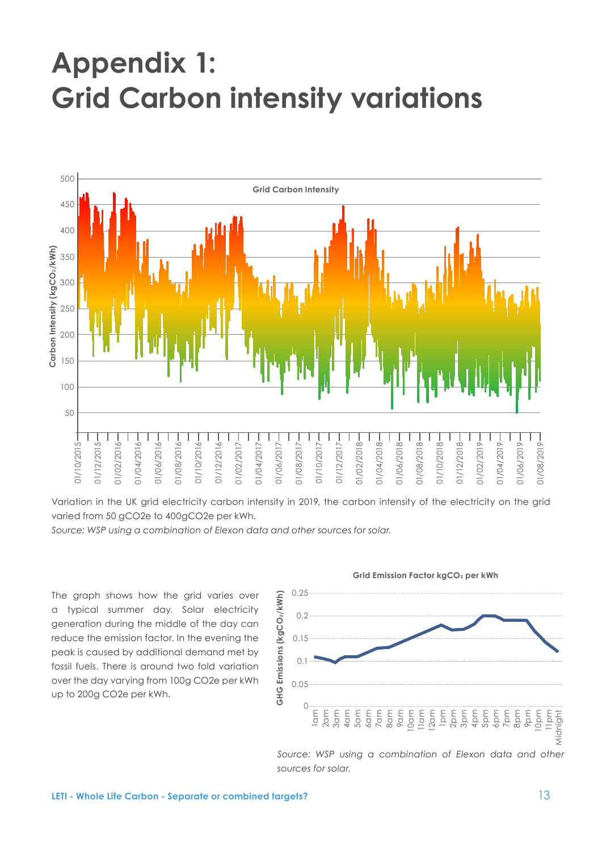# **Appendix 1: Grid Carbon intensity variations**



Variation in the UK grid electricity carbon intensity in 2019, the carbon intensity of the electricity on the grid varied from 50 gCO2e to 400gCO2e per kWh.

*Source: WSP using a combination of Elexon data and other sources for solar.*

The graph shows how the grid varies over a typical summer day. Solar electricity generation during the middle of the day can reduce the emission factor. In the evening the peak is caused by additional demand met by fossil fuels. There is around two fold variation over the day varying from 100g CO2e per kWh up to 200g CO2e per kWh.



#### **Grid Emission Factor kgCO**2 **per kWh**

Source: WSP using a combination of Elexon data and other *sources for solar.*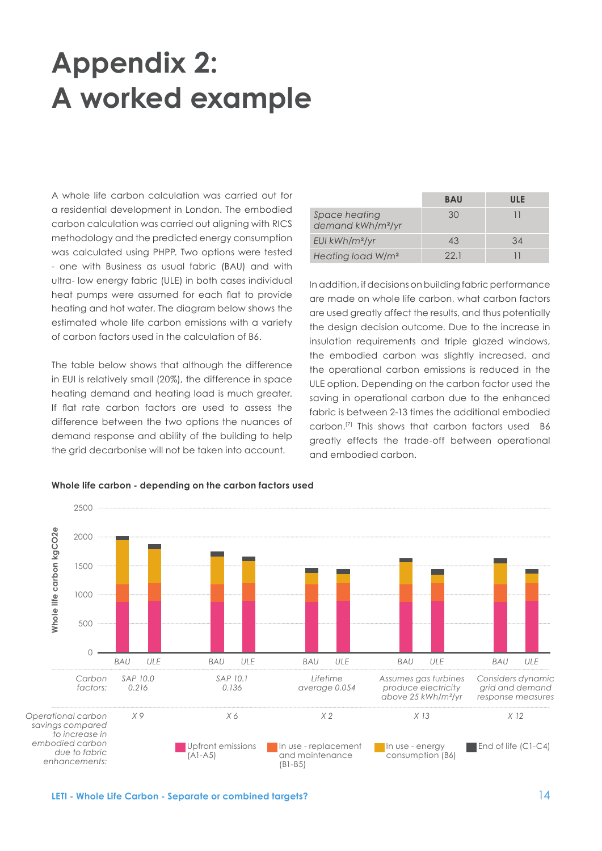# <span id="page-13-0"></span>**Appendix 2: A worked example**

A whole life carbon calculation was carried out for a residential development in London. The embodied carbon calculation was carried out aligning with RICS methodology and the predicted energy consumption was calculated using PHPP. Two options were tested - one with Business as usual fabric (BAU) and with ultra- low energy fabric (ULE) in both cases individual heat pumps were assumed for each flat to provide heating and hot water. The diagram below shows the estimated whole life carbon emissions with a variety of carbon factors used in the calculation of B6.

The table below shows that although the difference in EUI is relatively small (20%), the difference in space heating demand and heating load is much greater. If flat rate carbon factors are used to assess the difference between the two options the nuances of demand response and ability of the building to help the grid decarbonise will not be taken into account.

|                                                | <b>BAU</b> | ULE |
|------------------------------------------------|------------|-----|
| Space heating<br>demand kWh/m <sup>2</sup> /yr | 30         |     |
| $EUI$ kWh/m <sup>2</sup> /yr                   | 43         | 34  |
| Heating load W/m <sup>2</sup>                  | 221        |     |

In addition, if decisions on building fabric performance are made on whole life carbon, what carbon factors are used greatly affect the results, and thus potentially the design decision outcome. Due to the increase in insulation requirements and triple glazed windows, the embodied carbon was slightly increased, and the operational carbon emissions is reduced in the ULE option. Depending on the carbon factor used the saving in operational carbon due to the enhanced fabric is between 2-13 times the additional embodied carbon.[\[7\]](#page-16-0) This shows that carbon factors used B6 greatly effects the trade-off between operational and embodied carbon.



#### **Whole life carbon - depending on the carbon factors used**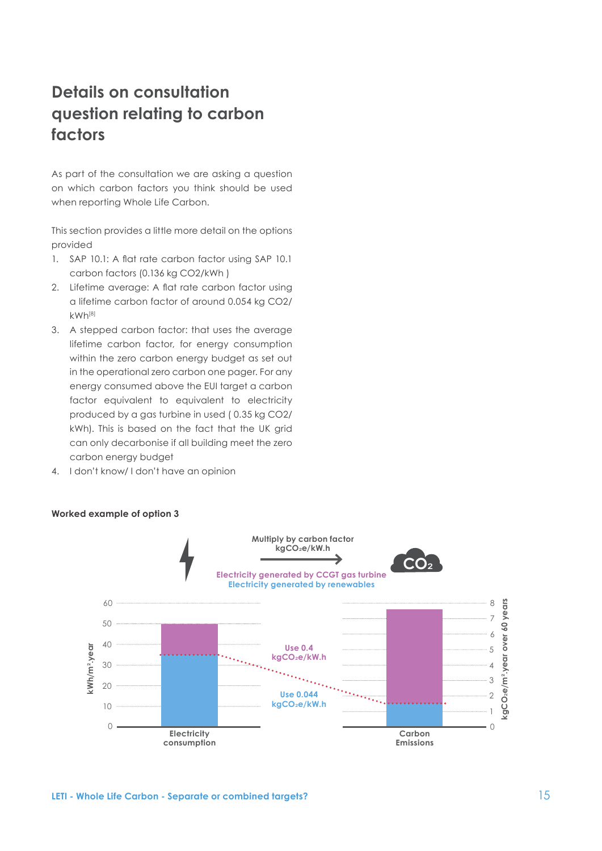# <span id="page-14-0"></span>**Details on consultation question relating to carbon factors**

As part of the consultation we are asking a question on which carbon factors you think should be used when reporting Whole Life Carbon.

This section provides a little more detail on the options provided

- 1. SAP 10.1: A flat rate carbon factor using SAP 10.1 carbon factors (0.136 kg CO2/kWh )
- 2. Lifetime average: A flat rate carbon factor using a lifetime carbon factor of around 0.054 kg CO2/ kWh[\[8\]](#page-16-0)
- 3. A stepped carbon factor: that uses the average lifetime carbon factor, for energy consumption within the zero carbon energy budget as set out in the operational zero carbon one pager. For any energy consumed above the EUI target a carbon factor equivalent to equivalent to electricity produced by a gas turbine in used ( 0.35 kg CO2/ kWh). This is based on the fact that the UK grid can only decarbonise if all building meet the zero carbon energy budget
- 4. I don't know/ I don't have an opinion



#### **Worked example of option 3**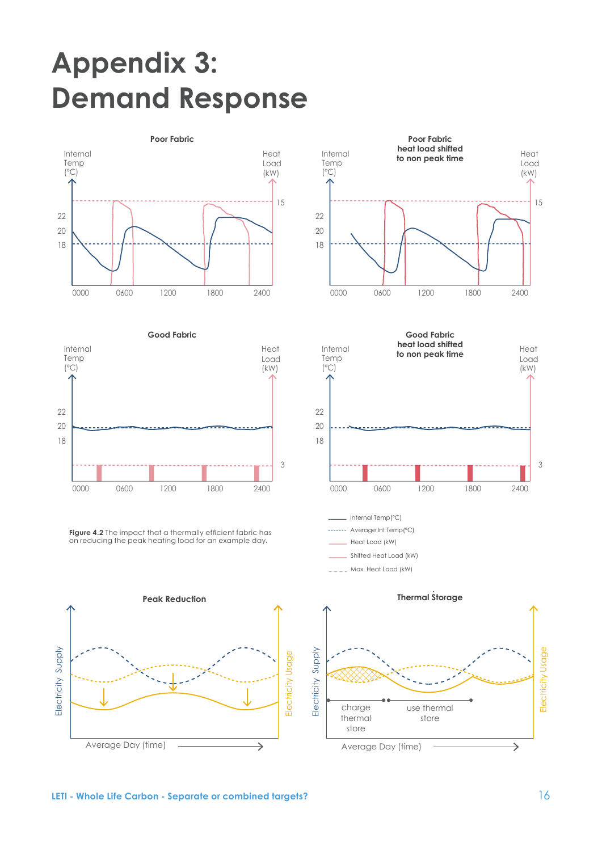# Appendix 3: **Demand Response** Annengiy solution the energy required for  $\mathbb{R}^n$





**Figure 4.2** The impact that a thermally efficient fabric has on reducing the peak heating load for an example day.<br>.







Internal Temp(ºC) -- Average Int Temp(°C) Heat Load (kW)

\_\_ Shifted Heat Load (kW)

Max. Heat Load (kW)



**Active demand response measures -** 

### $\blacksquare$  **LETI** - Whole Life Carbon - Separate or combined targets?  $\blacksquare$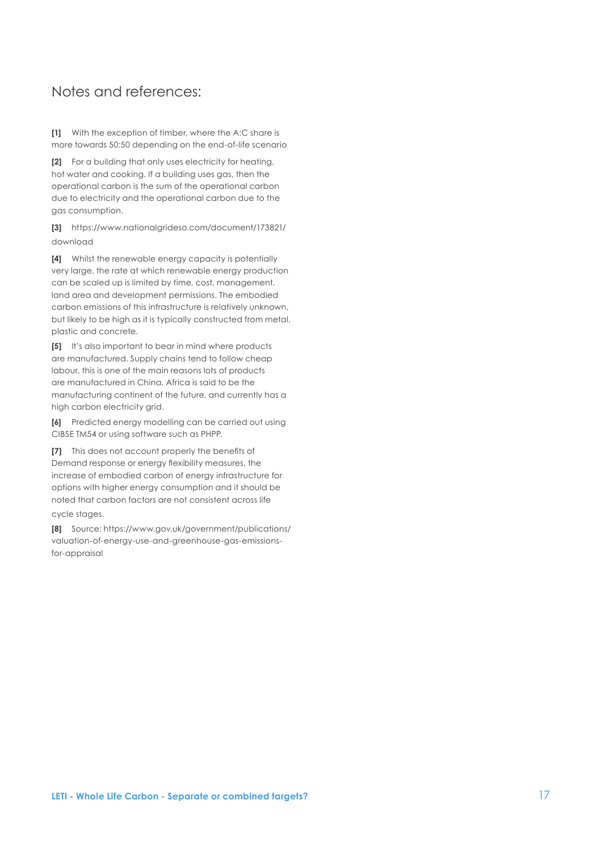### <span id="page-16-0"></span>Notes and references:

**[\[1](#page-2-0)]** With the exception of timber, where the A:C share is more towards 50:50 depending on the end-of-life scenario

**[\[2](#page-3-0)]** For a building that only uses electricity for heating, hot water and cooking. If a building uses gas, then the operational carbon is the sum of the operational carbon due to electricity and the operational carbon due to the gas consumption.

**[\[3](#page-3-0)]** [https://www.nationalgrideso.com/document/173821/](https://www.nationalgrideso.com/document/173821/download) [download](https://www.nationalgrideso.com/document/173821/download)

**[\[4](#page-3-0)]** Whilst the renewable energy capacity is potentially very large, the rate at which renewable energy production can be scaled up is limited by time, cost, management, land area and development permissions. The embodied carbon emissions of this infrastructure is relatively unknown, but likely to be high as it is typically constructed from metal, plastic and concrete.

**[5]** It's also important to bear in mind where products are manufactured. Supply chains tend to follow cheap labour, this is one of the main reasons lots of products are manufactured in China. Africa is said to be the manufacturing continent of the future, and currently has a high carbon electricity grid.

**[6]** Predicted energy modelling can be carried out using CIBSE TM54 or using software such as PHPP.

**[\[7](#page-13-0)]** This does not account properly the benefits of Demand response or energy flexibility measures, the increase of embodied carbon of energy infrastructure for options with higher energy consumption and it should be noted that carbon factors are not consistent across life cycle stages.

**[\[8](#page-14-0)]** Source: https://www.gov.uk/government/publications/ valuation-of-energy-use-and-greenhouse-gas-emissionsfor-appraisal